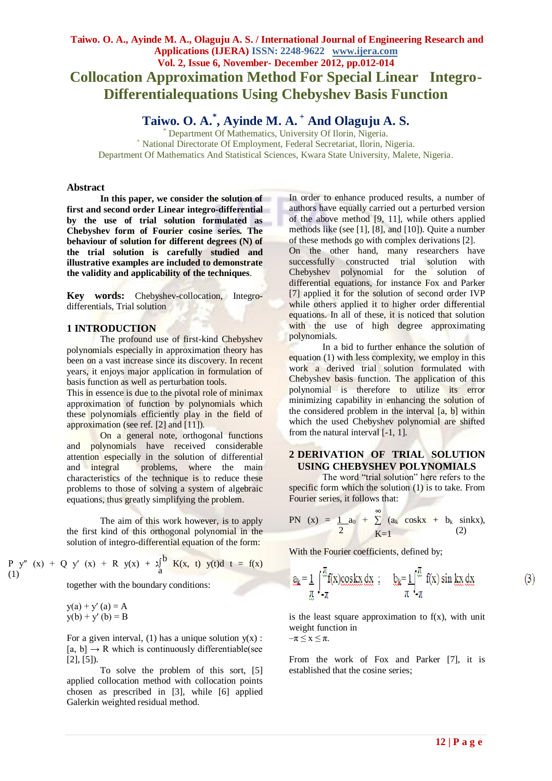# **Taiwo. O. A., Ayinde M. A., Olaguju A. S. / International Journal of Engineering Research and Applications (IJERA) ISSN: 2248-9622 www.ijera.com Vol. 2, Issue 6, November- December 2012, pp.012-014 Collocation Approximation Method For Special Linear Integro-Differentialequations Using Chebyshev Basis Function**

**Taiwo. O. A.\* , Ayinde M. A. <sup>+</sup> And Olaguju A. S.**

Department Of Mathematics, University Of Ilorin, Nigeria. <sup>+</sup> National Directorate Of Employment, Federal Secretariat, Ilorin, Nigeria. Department Of Mathematics And Statistical Sciences, Kwara State University, Malete, Nigeria.

#### **Abstract**

**In this paper, we consider the solution of first and second order Linear integro-differential by the use of trial solution formulated as Chebyshev form of Fourier cosine series. The behaviour of solution for different degrees (N) of the trial solution is carefully studied and illustrative examples are included to demonstrate the validity and applicability of the techniques**.

**Key words:** Chebyshev-collocation, Integrodifferentials, Trial solution

### **1 INTRODUCTION**

The profound use of first-kind Chebyshev polynomials especially in approximation theory has been on a vast increase since its discovery. In recent years, it enjoys major application in formulation of basis function as well as perturbation tools.

This in essence is due to the pivotal role of minimax approximation of function by polynomials which these polynomials efficiently play in the field of approximation (see ref. [2] and [11]).

On a general note, orthogonal functions and polynomials have received considerable attention especially in the solution of differential and integral problems, where the main characteristics of the technique is to reduce these problems to those of solving a system of algebraic equations, thus greatly simplifying the problem.

The aim of this work however, is to apply the first kind of this orthogonal polynomial in the solution of integro-differential equation of the form:

P y″ (x) + Q y′ (x) + R y(x) + ג ∫K(x, t) y(t)d t = f(x) a b

together with the boundary conditions:

$$
y(a) + y'(a) = A
$$
  
y(b) + y'(b) = B

(1)

For a given interval, (1) has a unique solution  $y(x)$ :  $[a, b] \rightarrow R$  which is continuously differentiable(see [2], [5]).

To solve the problem of this sort, [5] applied collocation method with collocation points chosen as prescribed in [3], while [6] applied Galerkin weighted residual method.

In order to enhance produced results, a number of authors have equally carried out a perturbed version of the above method [9, 11], while others applied methods like (see [1], [8], and [10]). Quite a number of these methods go with complex derivations [2]. On the other hand, many researchers have successfully constructed trial solution with Chebyshev polynomial for the solution of differential equations, for instance Fox and Parker [7] applied it for the solution of second order IVP while others applied it to higher order differential equations. In all of these, it is noticed that solution with the use of high degree approximating polynomials.

In a bid to further enhance the solution of equation (1) with less complexity, we employ in this work a derived trial solution formulated with Chebyshev basis function. The application of this polynomial is therefore to utilize its error minimizing capability in enhancing the solution of the considered problem in the interval [a, b] within which the used Chebyshev polynomial are shifted from the natural interval [-1, 1].

## **2 DERIVATION OF TRIAL SOLUTION USING CHEBYSHEV POLYNOMIALS**

The word "trial solution" here refers to the specific form which the solution (1) is to take. From Fourier series, it follows that:

PN (x) = 
$$
\frac{1}{2}a_0 + \sum_{K=1}^{\infty} (a_k \cos kx + b_k \sin kx)
$$
, (2)

With the Fourier coefficients, defined by;

 $a_k = \frac{1}{\pi}$ 

$$
\frac{\pi}{\pi} f(x) \underset{\pi}{\cos kx} \, dx \, ; \quad b_k = \frac{1}{\pi} \int_{-\pi}^{\pi} f(x) \sin kx \, dx
$$

is the least square approximation to  $f(x)$ , with unit weight function in  $-\pi \leq x \leq \pi$ .

From the work of Fox and Parker [7], it is established that the cosine series;

 $(3)$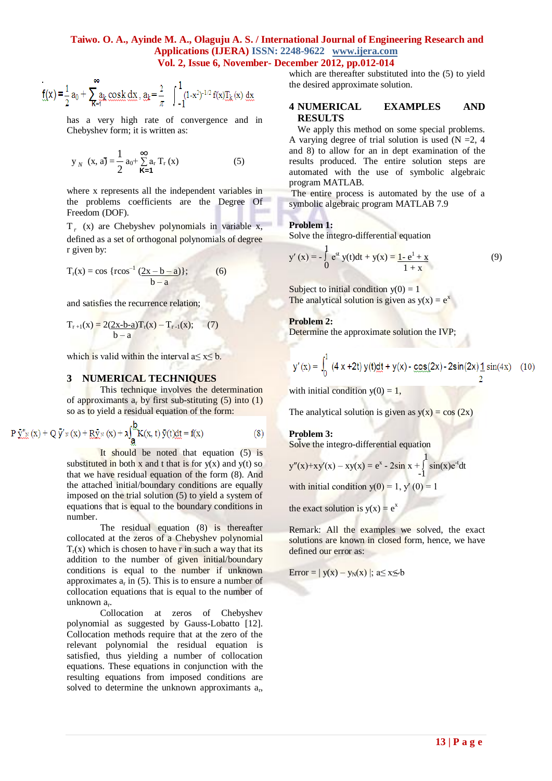### **Taiwo. O. A., Ayinde M. A., Olaguju A. S. / International Journal of Engineering Research and Applications (IJERA) ISSN: 2248-9622 www.ijera.com Vol. 2, Issue 6, November- December 2012, pp.012-014**

$$
f(x) = \frac{1}{2}a_0 + \sum_{k=1}^{\infty} a_k \cos k \, dx
$$
,  $a_k = \frac{2}{\pi} \int_{-1}^{1} (1-x^2)^{-1/2} f(x) J_k(x) \, dx$ 

has a very high rate of convergence and in Chebyshev form; it is written as:

$$
\mathbf{y}_{N} \ (\mathbf{x}, \mathbf{a}) = \frac{1}{2} \mathbf{a}_{0} + \sum_{\mathbf{K} = 1}^{\infty} \mathbf{a}_{r} \mathbf{T}_{r} (\mathbf{x})
$$
 (5)

where x represents all the independent variables in the problems coefficients are the Degree Of Freedom (DOF).

 $T_r$  (x) are Chebyshev polynomials in variable x, defined as a set of orthogonal polynomials of degree r given by:

$$
T_r(x) = \cos \{r \cos^{-1} \frac{(2x - b - a)}{b - a}\};
$$
 (6)

and satisfies the recurrence relation;

$$
T_{r+1}(x) = 2(2x-b-a)T_r(x) - T_{r-1}(x); \qquad (7)
$$

which is valid within the interval  $a \le x \le b$ .

#### **3 NUMERICAL TECHNIQUES**

This technique involves the determination of approximants  $a_r$  by first sub-stituting (5) into (1) so as to yield a residual equation of the form:

$$
P \bar{y}''_{x}(x) + Q \bar{y}'_{x}(x) + R \bar{y}_{x}(x) + \lambda \int_{\underline{\mathbf{a}}}^{\underline{\mathbf{b}}} K(x, t) \bar{y}(t) dt = f(x)
$$
(8)

It should be noted that equation (5) is substituted in both x and t that is for  $y(x)$  and  $y(t)$  so that we have residual equation of the form (8). And the attached initial/boundary conditions are equally imposed on the trial solution (5) to yield a system of equations that is equal to the boundary conditions in number.

The residual equation (8) is thereafter collocated at the zeros of a Chebyshev polynomial  $T_r(x)$  which is chosen to have r in such a way that its addition to the number of given initial/boundary conditions is equal to the number if unknown approximates  $a_r$  in (5). This is to ensure a number of collocation equations that is equal to the number of unknown a<sub>r</sub>.

Collocation at zeros of Chebyshev polynomial as suggested by Gauss-Lobatto [12]. Collocation methods require that at the zero of the relevant polynomial the residual equation is satisfied, thus yielding a number of collocation equations. These equations in conjunction with the resulting equations from imposed conditions are solved to determine the unknown approximants  $a_r$ , which are thereafter substituted into the (5) to yield the desired approximate solution.

### **4 NUMERICAL EXAMPLES AND RESULTS**

We apply this method on some special problems. A varying degree of trial solution is used  $(N = 2, 4)$ and 8) to allow for an in dept examination of the results produced. The entire solution steps are automated with the use of symbolic algebraic program MATLAB.

The entire process is automated by the use of a symbolic algebraic program MATLAB 7.9

#### **Problem 1:**

Solve the integro-differential equation

$$
y'(x) = -\int_{0}^{1} e^{st} y(t)dt + y(x) = \frac{1 - e^{t} + x}{1 + x}
$$
(9)

Subject to initial condition  $y(0) = 1$ The analytical solution is given as  $y(x) = e^x$ 

#### **Problem 2:**

Determine the approximate solution the IVP;

$$
y'(x) = \int_0^1 (4x + 2t) y(t)dt + y(x) - \frac{\cos(2x)}{2} - 2\sin(2x)\frac{1}{2}\sin(4x) \quad (10)
$$

with initial condition  $y(0) = 1$ ,

The analytical solution is given as  $y(x) = cos(2x)$ 

### **Problem 3:**

**Problem 5:**<br>Solve the integro-differential equation

$$
y''(x)+xy'(x) - xy(x) = e^x - 2\sin x + \int_{-1}^{1} \sin(x)e^{-t}dt
$$

with initial condition  $y(0) = 1$ ,  $y'(0) = 1$ 

the exact solution is  $y(x) = e^x$ 

Remark: All the examples we solved, the exact solutions are known in closed form, hence, we have defined our error as:

$$
Error = | y(x) - y_N(x) |; a \le x \le b
$$